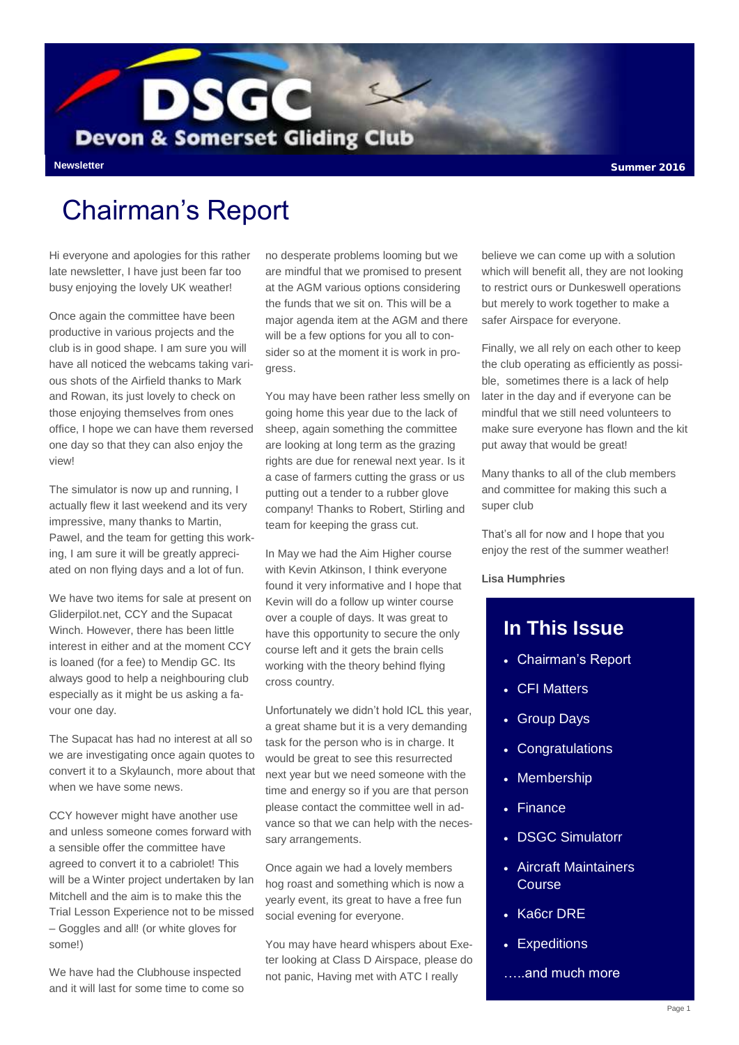

#### Chairman's Report

Hi everyone and apologies for this rather late newsletter. I have just been far too busy enjoying the lovely UK weather!

Once again the committee have been productive in various projects and the club is in good shape. I am sure you will have all noticed the webcams taking various shots of the Airfield thanks to Mark and Rowan, its just lovely to check on those enjoying themselves from ones office, I hope we can have them reversed one day so that they can also enjoy the view!

The simulator is now up and running, I actually flew it last weekend and its very impressive, many thanks to Martin, Pawel, and the team for getting this working, I am sure it will be greatly appreciated on non flying days and a lot of fun.

We have two items for sale at present on Gliderpilot.net, CCY and the Supacat Winch. However, there has been little interest in either and at the moment CCY is loaned (for a fee) to Mendip GC. Its always good to help a neighbouring club especially as it might be us asking a favour one day.

The Supacat has had no interest at all so we are investigating once again quotes to convert it to a Skylaunch, more about that when we have some news.

CCY however might have another use and unless someone comes forward with a sensible offer the committee have agreed to convert it to a cabriolet! This will be a Winter project undertaken by Ian Mitchell and the aim is to make this the Trial Lesson Experience not to be missed – Goggles and all! (or white gloves for some!)

We have had the Clubhouse inspected and it will last for some time to come so no desperate problems looming but we are mindful that we promised to present at the AGM various options considering the funds that we sit on. This will be a major agenda item at the AGM and there will be a few options for you all to consider so at the moment it is work in progress.

You may have been rather less smelly on going home this year due to the lack of sheep, again something the committee are looking at long term as the grazing rights are due for renewal next year. Is it a case of farmers cutting the grass or us putting out a tender to a rubber glove company! Thanks to Robert, Stirling and team for keeping the grass cut.

In May we had the Aim Higher course with Kevin Atkinson, I think everyone found it very informative and I hope that Kevin will do a follow up winter course over a couple of days. It was great to have this opportunity to secure the only course left and it gets the brain cells working with the theory behind flying cross country.

Unfortunately we didn't hold ICL this year, a great shame but it is a very demanding task for the person who is in charge. It would be great to see this resurrected next year but we need someone with the time and energy so if you are that person please contact the committee well in advance so that we can help with the necessary arrangements.

Once again we had a lovely members hog roast and something which is now a yearly event, its great to have a free fun social evening for everyone.

You may have heard whispers about Exeter looking at Class D Airspace, please do not panic, Having met with ATC I really

believe we can come up with a solution which will benefit all, they are not looking to restrict ours or Dunkeswell operations but merely to work together to make a safer Airspace for everyone.

Finally, we all rely on each other to keep the club operating as efficiently as possible, sometimes there is a lack of help later in the day and if everyone can be mindful that we still need volunteers to make sure everyone has flown and the kit put away that would be great!

Many thanks to all of the club members and committee for making this such a super club

That's all for now and I hope that you enjoy the rest of the summer weather!

#### **Lisa Humphries**

#### **In This Issue**

- Chairman's Report
- CFI Matters
- Group Days
- Congratulations
- Membership
- Finance
- DSGC Simulatorr
- Aircraft Maintainers **Course**
- Ka6cr DRE
- Expeditions
- …..and much more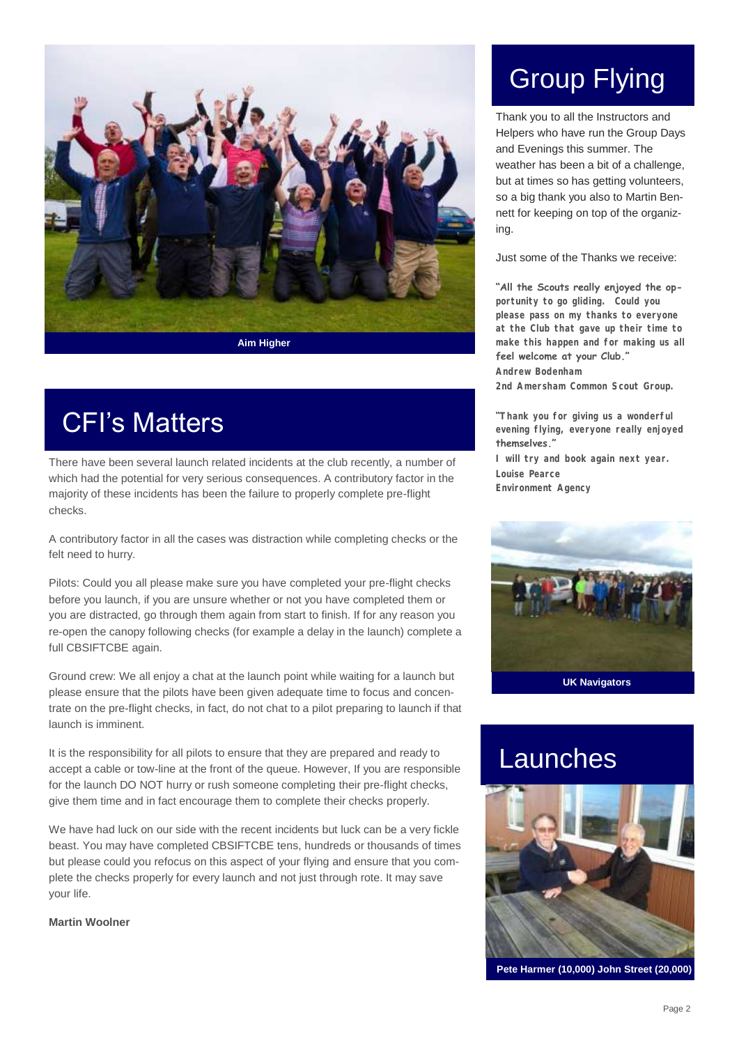

CFI's Matters

There have been several launch related incidents at the club recently, a number of which had the potential for very serious consequences. A contributory factor in the majority of these incidents has been the failure to properly complete pre-flight checks.

A contributory factor in all the cases was distraction while completing checks or the felt need to hurry.

Pilots: Could you all please make sure you have completed your pre-flight checks before you launch, if you are unsure whether or not you have completed them or you are distracted, go through them again from start to finish. If for any reason you re-open the canopy following checks (for example a delay in the launch) complete a full CBSIFTCBE again.

Ground crew: We all enjoy a chat at the launch point while waiting for a launch but please ensure that the pilots have been given adequate time to focus and concentrate on the pre-flight checks, in fact, do not chat to a pilot preparing to launch if that launch is imminent.

It is the responsibility for all pilots to ensure that they are prepared and ready to accept a cable or tow-line at the front of the queue. However, If you are responsible for the launch DO NOT hurry or rush someone completing their pre-flight checks, give them time and in fact encourage them to complete their checks properly.

We have had luck on our side with the recent incidents but luck can be a very fickle beast. You may have completed CBSIFTCBE tens, hundreds or thousands of times but please could you refocus on this aspect of your flying and ensure that you complete the checks properly for every launch and not just through rote. It may save your life.

#### **Martin Woolner**

# Group Flying

Thank you to all the Instructors and Helpers who have run the Group Days and Evenings this summer. The weather has been a bit of a challenge. but at times so has getting volunteers, so a big thank you also to Martin Bennett for keeping on top of the organizing.

Just some of the Thanks we receive:

#### **"All the Scouts really enjoyed the op-**

**portunity to go gliding. Could you please pass on my thanks to everyone at the Club that gave up their time to make this happen and for making us all feel welcome at your Club."**

**Andrew Bodenham 2nd Amersham Common Scout Group.**

**"Thank you for giving us a wonderful evening flying, everyone really enjoyed themselves."**

**I will try and book again next year. Louise Pearce Environment Agency** 



#### Launches



**Pete Harmer (10,000) John Street (20,000)**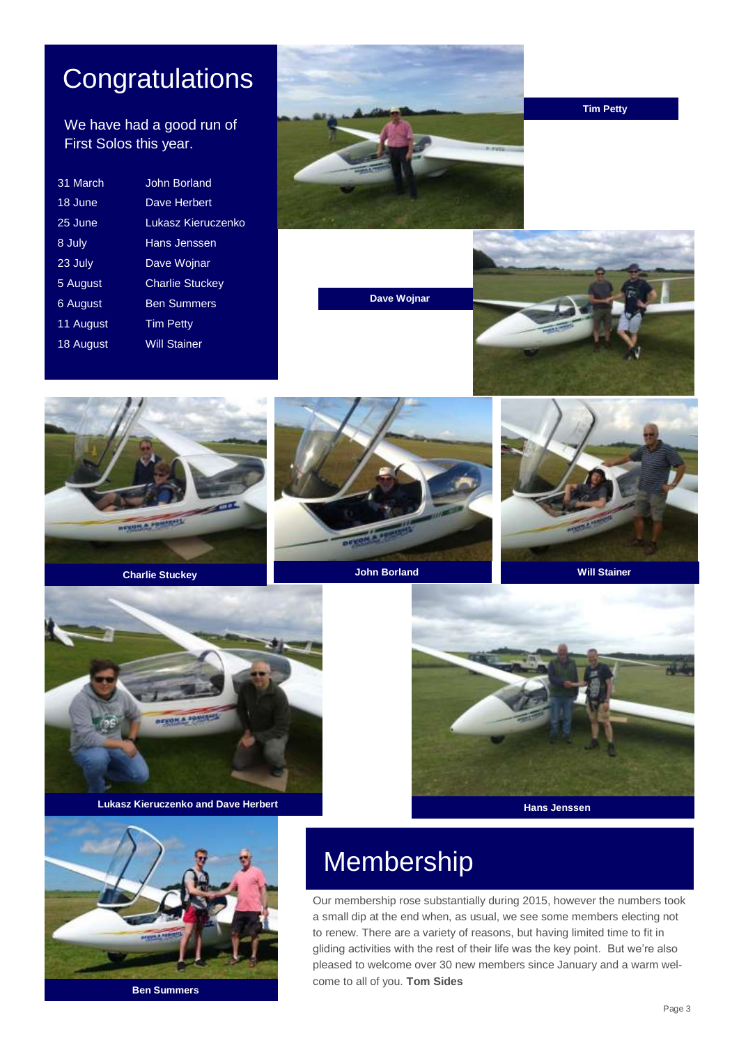### **Congratulations**

#### We have had a good run of First Solos this year.

| 31 March  | John Borland           |
|-----------|------------------------|
| 18 June   | Dave Herbert           |
| 25 June   | Lukasz Kieruczenko     |
| 8 July    | Hans Jenssen           |
| 23 July   | Dave Wojnar            |
| 5 August  | <b>Charlie Stuckey</b> |
| 6 August  | <b>Ben Summers</b>     |
| 11 August | <b>Tim Petty</b>       |
| 18 August | <b>Will Stainer</b>    |
|           |                        |



**Tim Petty**

**Dave Wojnar**















### Membership

Our membership rose substantially during 2015, however the numbers took a small dip at the end when, as usual, we see some members electing not to renew. There are a variety of reasons, but having limited time to fit in gliding activities with the rest of their life was the key point. But we're also pleased to welcome over 30 new members since January and a warm welcome to all of you. **Tom Sides**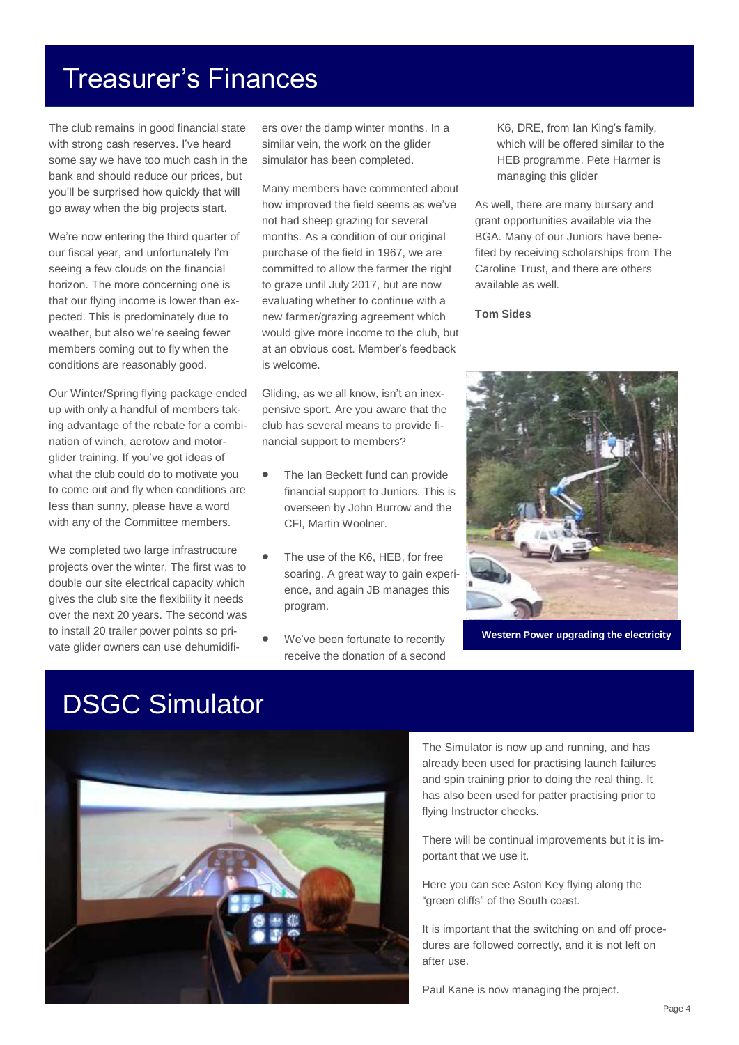#### Treasurer's Finances

The club remains in good financial state with strong cash reserves. I've heard some say we have too much cash in the bank and should reduce our prices, but you'll be surprised how quickly that will go away when the big projects start.

We're now entering the third quarter of our fiscal year, and unfortunately I'm seeing a few clouds on the financial horizon. The more concerning one is that our flying income is lower than expected. This is predominately due to weather, but also we're seeing fewer members coming out to fly when the conditions are reasonably good.

Our Winter/Spring flying package ended up with only a handful of members taking advantage of the rebate for a combination of winch, aerotow and motorglider training. If you've got ideas of what the club could do to motivate you to come out and fly when conditions are less than sunny, please have a word with any of the Committee members.

We completed two large infrastructure projects over the winter. The first was to double our site electrical capacity which gives the club site the flexibility it needs over the next 20 years. The second was to install 20 trailer power points so private glider owners can use dehumidifi-

ers over the damp winter months. In a similar vein, the work on the glider simulator has been completed.

Many members have commented about how improved the field seems as we've not had sheep grazing for several months. As a condition of our original purchase of the field in 1967, we are committed to allow the farmer the right to graze until July 2017, but are now evaluating whether to continue with a new farmer/grazing agreement which would give more income to the club, but at an obvious cost. Member's feedback is welcome.

Gliding, as we all know, isn't an inexpensive sport. Are you aware that the club has several means to provide financial support to members?

- The Ian Beckett fund can provide financial support to Juniors. This is overseen by John Burrow and the CFI, Martin Woolner.
- The use of the K6, HEB, for free soaring. A great way to gain experience, and again JB manages this program.
- We've been fortunate to recently receive the donation of a second

K6, DRE, from Ian King's family, which will be offered similar to the HEB programme. Pete Harmer is managing this glider

As well, there are many bursary and grant opportunities available via the BGA. Many of our Juniors have benefited by receiving scholarships from The Caroline Trust, and there are others available as well.

**Tom Sides**



**Western Power upgrading the electricity**

### DSGC Simulator



The Simulator is now up and running, and has already been used for practising launch failures and spin training prior to doing the real thing. It has also been used for patter practising prior to flying Instructor checks.

There will be continual improvements but it is important that we use it.

Here you can see Aston Key flying along the "green cliffs" of the South coast.

It is important that the switching on and off procedures are followed correctly, and it is not left on after use.

Paul Kane is now managing the project.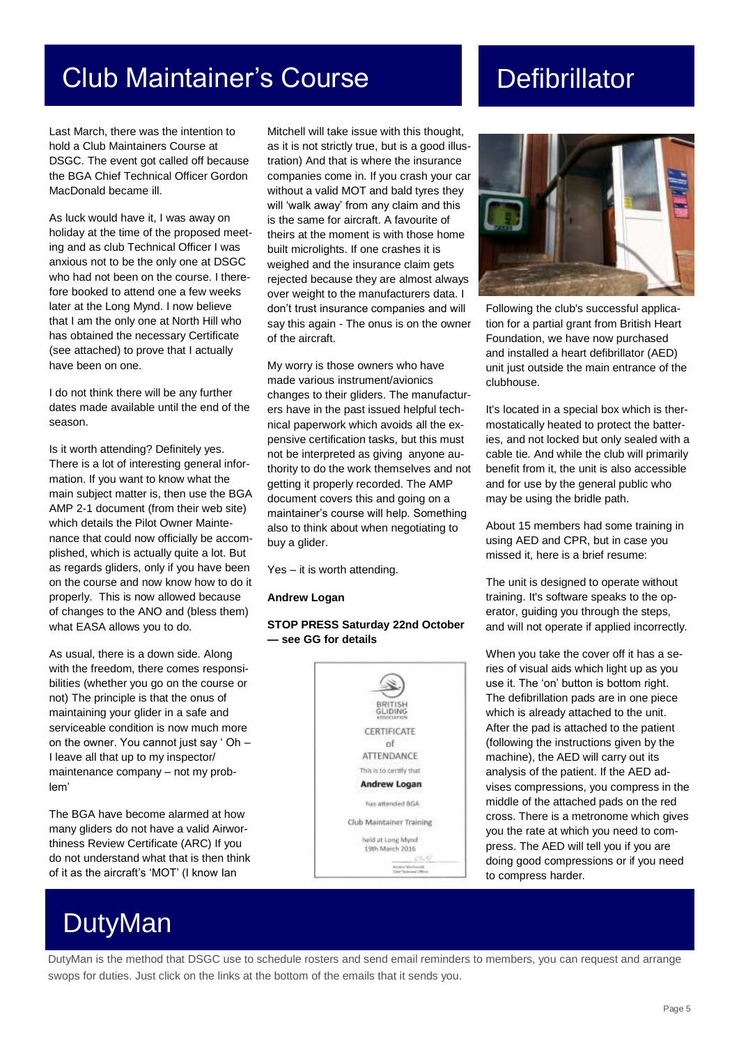### Club Maintainer's Course **Defibrillator**

Last March, there was the intention to hold a Club Maintainers Course at DSGC. The event got called off because the BGA Chief Technical Officer Gordon MacDonald became ill.

As luck would have it, I was away on holiday at the time of the proposed meeting and as club Technical Officer I was anxious not to be the only one at DSGC who had not been on the course. I therefore booked to attend one a few weeks later at the Long Mynd. I now believe that I am the only one at North Hill who has obtained the necessary Certificate (see attached) to prove that I actually have been on one.

I do not think there will be any further dates made available until the end of the season.

Is it worth attending? Definitely yes. There is a lot of interesting general information. If you want to know what the main subject matter is, then use the BGA AMP 2-1 document (from their web site) which details the Pilot Owner Maintenance that could now officially be accomplished, which is actually quite a lot. But as regards gliders, only if you have been on the course and now know how to do it properly. This is now allowed because of changes to the ANO and (bless them) what EASA allows you to do.

As usual, there is a down side. Along with the freedom, there comes responsibilities (whether you go on the course or not) The principle is that the onus of maintaining your glider in a safe and serviceable condition is now much more on the owner. You cannot just say ' Oh – I leave all that up to my inspector/ maintenance company – not my problem'

The BGA have become alarmed at how many gliders do not have a valid Airworthiness Review Certificate (ARC) If you do not understand what that is then think of it as the aircraft's 'MOT' (I know Ian

### DutyMan

Mitchell will take issue with this thought, as it is not strictly true, but is a good illustration) And that is where the insurance companies come in. If you crash your car without a valid MOT and bald tyres they will 'walk away' from any claim and this is the same for aircraft. A favourite of theirs at the moment is with those home built microlights. If one crashes it is weighed and the insurance claim gets rejected because they are almost always over weight to the manufacturers data. I don't trust insurance companies and will say this again - The onus is on the owner of the aircraft.

My worry is those owners who have made various instrument/avionics changes to their gliders. The manufacturers have in the past issued helpful technical paperwork which avoids all the expensive certification tasks, but this must not be interpreted as giving anyone authority to do the work themselves and not getting it properly recorded. The AMP document covers this and going on a maintainer's course will help. Something also to think about when negotiating to buy a glider.

Yes – it is worth attending.

#### **Andrew Logan**

#### **STOP PRESS Saturday 22nd October — see GG for details**





Following the club's successful application for a partial grant from British Heart Foundation, we have now purchased and installed a heart defibrillator (AED) unit just outside the main entrance of the clubhouse.

It's located in a special box which is thermostatically heated to protect the batteries, and not locked but only sealed with a cable tie. And while the club will primarily benefit from it, the unit is also accessible and for use by the general public who may be using the bridle path.

About 15 members had some training in using AED and CPR, but in case you missed it, here is a brief resume:

The unit is designed to operate without training. It's software speaks to the operator, guiding you through the steps, and will not operate if applied incorrectly.

When you take the cover off it has a series of visual aids which light up as you use it. The 'on' button is bottom right. The defibrillation pads are in one piece which is already attached to the unit. After the pad is attached to the patient (following the instructions given by the machine), the AED will carry out its analysis of the patient. If the AED advises compressions, you compress in the middle of the attached pads on the red cross. There is a metronome which gives you the rate at which you need to compress. The AED will tell you if you are doing good compressions or if you need to compress harder.

DutyMan is the method that DSGC use to schedule rosters and send email reminders to members, you can request and arrange swops for duties. Just click on the links at the bottom of the emails that it sends you.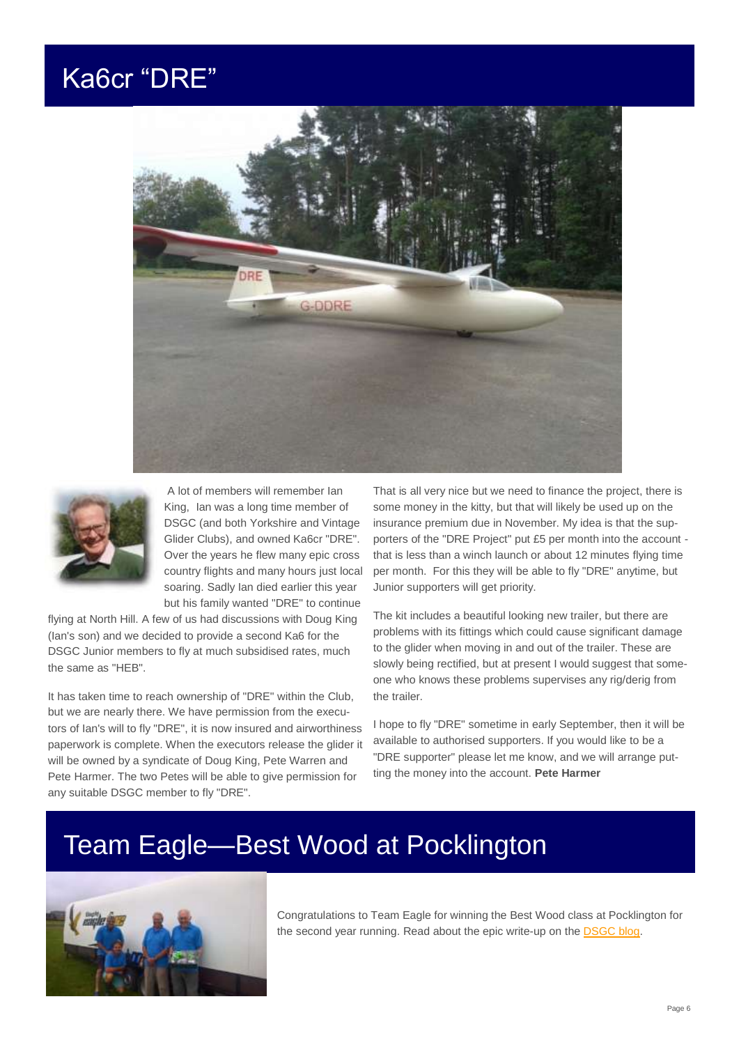#### Ka6cr "DRE"





A lot of members will remember Ian King, Ian was a long time member of DSGC (and both Yorkshire and Vintage Glider Clubs), and owned Ka6cr "DRE". Over the years he flew many epic cross country flights and many hours just local soaring. Sadly Ian died earlier this year but his family wanted "DRE" to continue

flying at North Hill. A few of us had discussions with Doug King (Ian's son) and we decided to provide a second Ka6 for the DSGC Junior members to fly at much subsidised rates, much the same as "HEB".

It has taken time to reach ownership of "DRE" within the Club, but we are nearly there. We have permission from the executors of Ian's will to fly "DRE", it is now insured and airworthiness paperwork is complete. When the executors release the glider it will be owned by a syndicate of Doug King, Pete Warren and Pete Harmer. The two Petes will be able to give permission for any suitable DSGC member to fly "DRE".

That is all very nice but we need to finance the project, there is some money in the kitty, but that will likely be used up on the insurance premium due in November. My idea is that the supporters of the "DRE Project" put £5 per month into the account that is less than a winch launch or about 12 minutes flying time per month. For this they will be able to fly "DRE" anytime, but Junior supporters will get priority.

The kit includes a beautiful looking new trailer, but there are problems with its fittings which could cause significant damage to the glider when moving in and out of the trailer. These are slowly being rectified, but at present I would suggest that someone who knows these problems supervises any rig/derig from the trailer.

I hope to fly "DRE" sometime in early September, then it will be available to authorised supporters. If you would like to be a "DRE supporter" please let me know, and we will arrange putting the money into the account. **Pete Harmer**

### Team Eagle—Best Wood at Pocklington



Congratulations to Team Eagle for winning the Best Wood class at Pocklington for the second year running. Read about the epic write-up on the [DSGC blog.](http://devonsomersetgc.blogspot.co.uk/2016/08/yea-story-of-yea-tournament-of.html)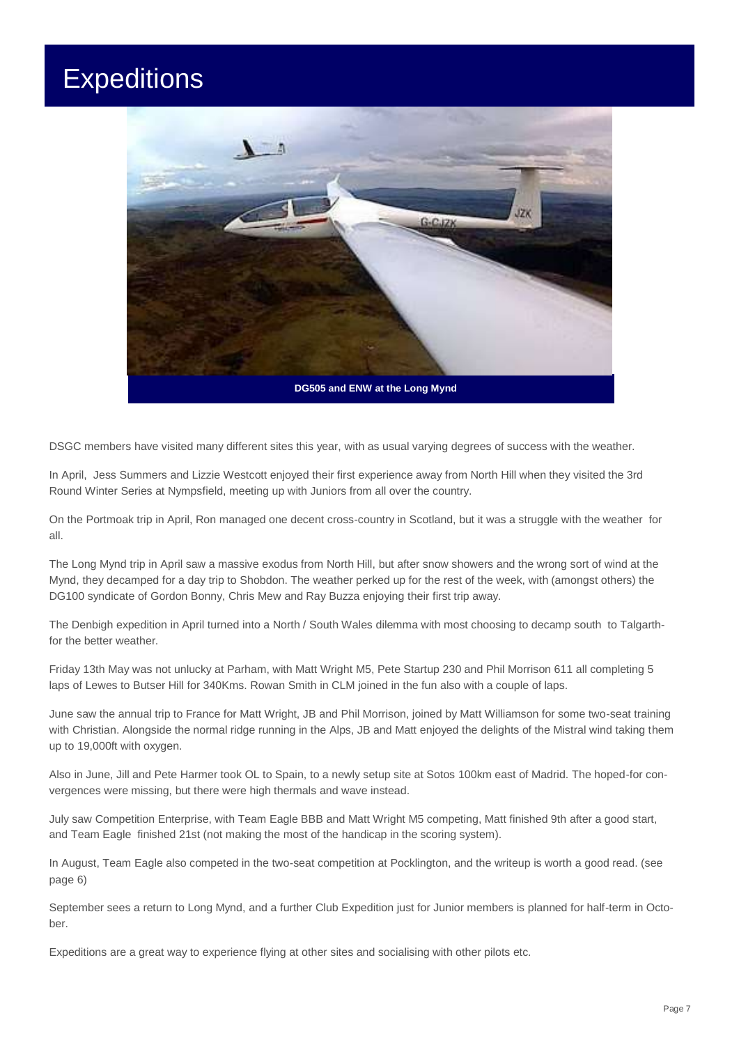### **Expeditions**



DSGC members have visited many different sites this year, with as usual varying degrees of success with the weather.

In April, Jess Summers and Lizzie Westcott enjoyed their first experience away from North Hill when they visited the 3rd Round Winter Series at Nympsfield, meeting up with Juniors from all over the country.

On the Portmoak trip in April, Ron managed one decent cross-country in Scotland, but it was a struggle with the weather for all.

The Long Mynd trip in April saw a massive exodus from North Hill, but after snow showers and the wrong sort of wind at the Mynd, they decamped for a day trip to Shobdon. The weather perked up for the rest of the week, with (amongst others) the DG100 syndicate of Gordon Bonny, Chris Mew and Ray Buzza enjoying their first trip away.

The Denbigh expedition in April turned into a North / South Wales dilemma with most choosing to decamp south to Talgarthfor the better weather.

Friday 13th May was not unlucky at Parham, with Matt Wright M5, Pete Startup 230 and Phil Morrison 611 all completing 5 laps of Lewes to Butser Hill for 340Kms. Rowan Smith in CLM joined in the fun also with a couple of laps.

June saw the annual trip to France for Matt Wright, JB and Phil Morrison, joined by Matt Williamson for some two-seat training with Christian. Alongside the normal ridge running in the Alps, JB and Matt enjoyed the delights of the Mistral wind taking them up to 19,000ft with oxygen.

Also in June, Jill and Pete Harmer took OL to Spain, to a newly setup site at Sotos 100km east of Madrid. The hoped-for convergences were missing, but there were high thermals and wave instead.

July saw Competition Enterprise, with Team Eagle BBB and Matt Wright M5 competing, Matt finished 9th after a good start, and Team Eagle finished 21st (not making the most of the handicap in the scoring system).

In August, Team Eagle also competed in the two-seat competition at Pocklington, and the writeup is worth a good read. (see page 6)

September sees a return to Long Mynd, and a further Club Expedition just for Junior members is planned for half-term in October.

Expeditions are a great way to experience flying at other sites and socialising with other pilots etc.